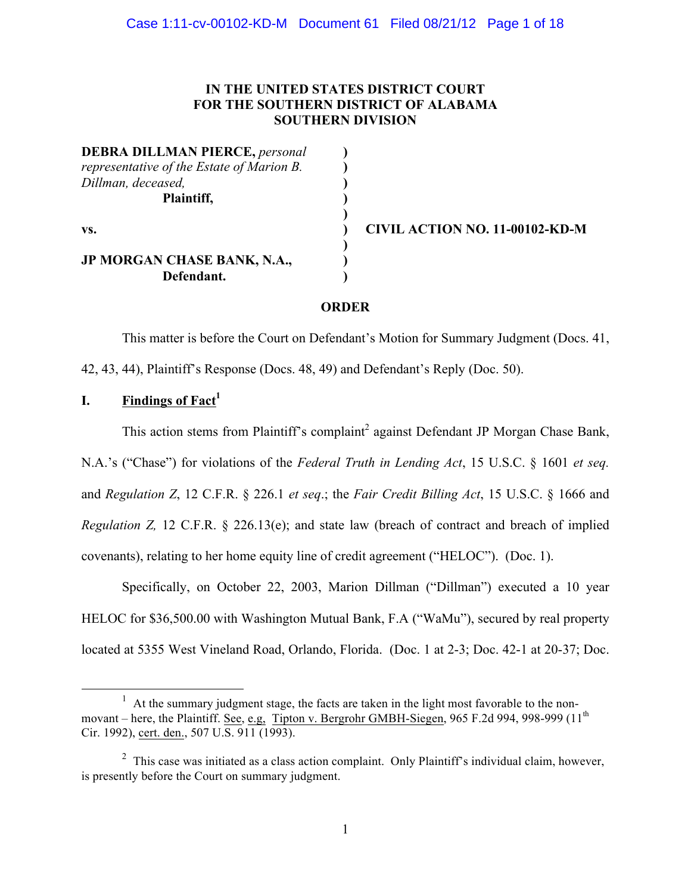## **IN THE UNITED STATES DISTRICT COURT FOR THE SOUTHERN DISTRICT OF ALABAMA SOUTHERN DIVISION**

**DEBRA DILLMAN PIERCE,** *personal* **)** *representative of the Estate of Marion B.* **)** *Dillman, deceased,* **) Plaintiff, ) vs. ) CIVIL ACTION NO. 11-00102-KD-M JP MORGAN CHASE BANK, N.A., ) Defendant. )**

## **ORDER**

**)**

**)**

This matter is before the Court on Defendant's Motion for Summary Judgment (Docs. 41,

42, 43, 44), Plaintiff's Response (Docs. 48, 49) and Defendant's Reply (Doc. 50).

# **I.** Findings of Fact<sup>1</sup>

This action stems from Plaintiff's complaint<sup>2</sup> against Defendant JP Morgan Chase Bank,

N.A.'s ("Chase") for violations of the *Federal Truth in Lending Act*, 15 U.S.C. § 1601 *et seq.*

and *Regulation Z*, 12 C.F.R. § 226.1 *et seq*.; the *Fair Credit Billing Act*, 15 U.S.C. § 1666 and

*Regulation Z,* 12 C.F.R. § 226.13(e); and state law (breach of contract and breach of implied covenants), relating to her home equity line of credit agreement ("HELOC"). (Doc. 1).

Specifically, on October 22, 2003, Marion Dillman ("Dillman") executed a 10 year HELOC for \$36,500.00 with Washington Mutual Bank, F.A ("WaMu"), secured by real property located at 5355 West Vineland Road, Orlando, Florida. (Doc. 1 at 2-3; Doc. 42-1 at 20-37; Doc.

<sup>&</sup>lt;u>1</u>  $<sup>1</sup>$  At the summary judgment stage, the facts are taken in the light most favorable to the non-</sup> movant – here, the Plaintiff. See, e.g, Tipton v. Bergrohr GMBH-Siegen, 965 F.2d 994, 998-999 (11<sup>th</sup>) Cir. 1992), cert. den., 507 U.S. 911 (1993).

 $2$  This case was initiated as a class action complaint. Only Plaintiff's individual claim, however, is presently before the Court on summary judgment.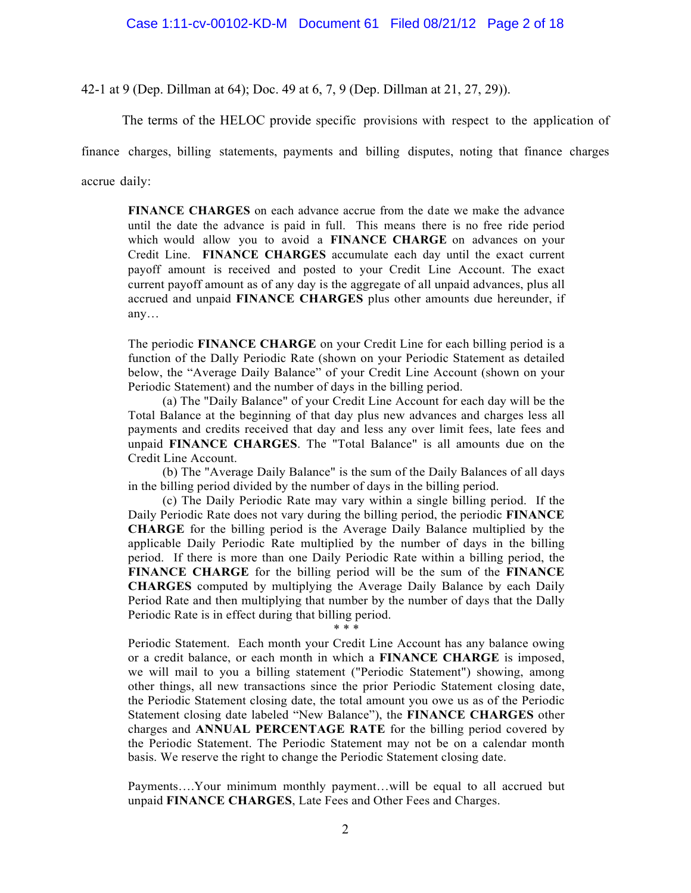#### Case 1:11-cv-00102-KD-M Document 61 Filed 08/21/12 Page 2 of 18

42-1 at 9 (Dep. Dillman at 64); Doc. 49 at 6, 7, 9 (Dep. Dillman at 21, 27, 29)).

The terms of the HELOC provide specific provisions with respect to the application of

finance charges, billing statements, payments and billing disputes, noting that finance charges

accrue daily:

**FINANCE CHARGES** on each advance accrue from the date we make the advance until the date the advance is paid in full. This means there is no free ride period which would allow you to avoid a **FINANCE CHARGE** on advances on your Credit Line. **FINANCE CHARGES** accumulate each day until the exact current payoff amount is received and posted to your Credit Line Account. The exact current payoff amount as of any day is the aggregate of all unpaid advances, plus all accrued and unpaid **FINANCE CHARGES** plus other amounts due hereunder, if any…

The periodic **FINANCE CHARGE** on your Credit Line for each billing period is a function of the Dally Periodic Rate (shown on your Periodic Statement as detailed below, the "Average Daily Balance" of your Credit Line Account (shown on your Periodic Statement) and the number of days in the billing period.

(a) The "Daily Balance" of your Credit Line Account for each day will be the Total Balance at the beginning of that day plus new advances and charges less all payments and credits received that day and less any over limit fees, late fees and unpaid **FINANCE CHARGES**. The "Total Balance" is all amounts due on the Credit Line Account.

(b) The "Average Daily Balance" is the sum of the Daily Balances of all days in the billing period divided by the number of days in the billing period.

(c) The Daily Periodic Rate may vary within a single billing period. If the Daily Periodic Rate does not vary during the billing period, the periodic **FINANCE CHARGE** for the billing period is the Average Daily Balance multiplied by the applicable Daily Periodic Rate multiplied by the number of days in the billing period. If there is more than one Daily Periodic Rate within a billing period, the **FINANCE CHARGE** for the billing period will be the sum of the **FINANCE CHARGES** computed by multiplying the Average Daily Balance by each Daily Period Rate and then multiplying that number by the number of days that the Dally Periodic Rate is in effect during that billing period.

\* \* \*

Periodic Statement. Each month your Credit Line Account has any balance owing or a credit balance, or each month in which a **FINANCE CHARGE** is imposed, we will mail to you a billing statement ("Periodic Statement") showing, among other things, all new transactions since the prior Periodic Statement closing date, the Periodic Statement closing date, the total amount you owe us as of the Periodic Statement closing date labeled "New Balance"), the **FINANCE CHARGES** other charges and **ANNUAL PERCENTAGE RATE** for the billing period covered by the Periodic Statement. The Periodic Statement may not be on a calendar month basis. We reserve the right to change the Periodic Statement closing date.

Payments….Your minimum monthly payment…will be equal to all accrued but unpaid **FINANCE CHARGES**, Late Fees and Other Fees and Charges.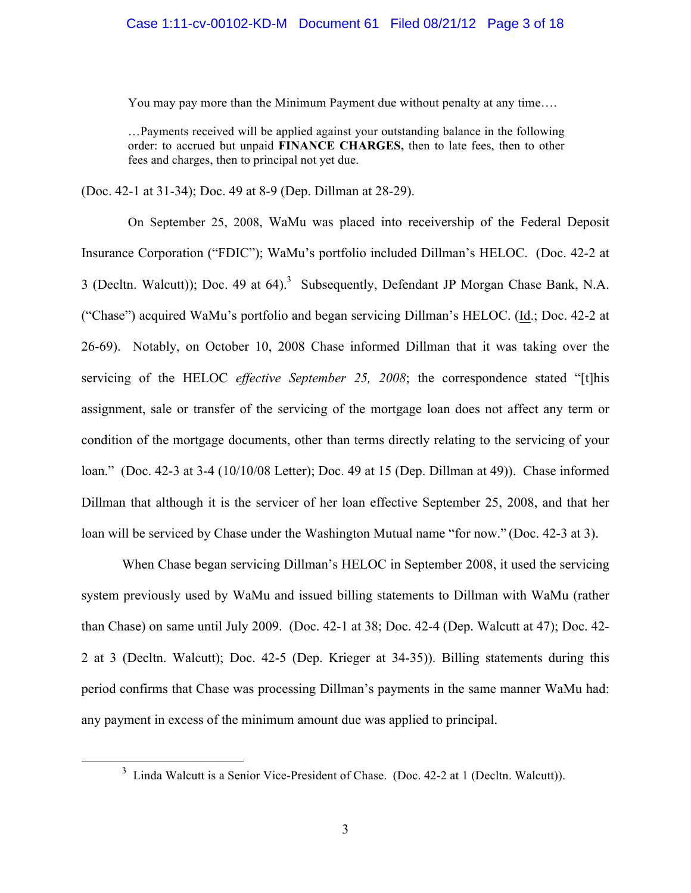You may pay more than the Minimum Payment due without penalty at any time….

…Payments received will be applied against your outstanding balance in the following order: to accrued but unpaid **FINANCE CHARGES,** then to late fees, then to other fees and charges, then to principal not yet due.

(Doc. 42-1 at 31-34); Doc. 49 at 8-9 (Dep. Dillman at 28-29).

On September 25, 2008, WaMu was placed into receivership of the Federal Deposit Insurance Corporation ("FDIC"); WaMu's portfolio included Dillman's HELOC. (Doc. 42-2 at 3 (Decltn. Walcutt)); Doc. 49 at  $64$ ).<sup>3</sup> Subsequently, Defendant JP Morgan Chase Bank, N.A. ("Chase") acquired WaMu's portfolio and began servicing Dillman's HELOC. (Id.; Doc. 42-2 at 26-69). Notably, on October 10, 2008 Chase informed Dillman that it was taking over the servicing of the HELOC *effective September 25, 2008*; the correspondence stated "[t]his assignment, sale or transfer of the servicing of the mortgage loan does not affect any term or condition of the mortgage documents, other than terms directly relating to the servicing of your loan." (Doc. 42-3 at 3-4 (10/10/08 Letter); Doc. 49 at 15 (Dep. Dillman at 49)). Chase informed Dillman that although it is the servicer of her loan effective September 25, 2008, and that her loan will be serviced by Chase under the Washington Mutual name "for now." (Doc. 42-3 at 3).

When Chase began servicing Dillman's HELOC in September 2008, it used the servicing system previously used by WaMu and issued billing statements to Dillman with WaMu (rather than Chase) on same until July 2009. (Doc. 42-1 at 38; Doc. 42-4 (Dep. Walcutt at 47); Doc. 42- 2 at 3 (Decltn. Walcutt); Doc. 42-5 (Dep. Krieger at 34-35)). Billing statements during this period confirms that Chase was processing Dillman's payments in the same manner WaMu had: any payment in excess of the minimum amount due was applied to principal.

 $\frac{1}{3}$  $3$  Linda Walcutt is a Senior Vice-President of Chase. (Doc. 42-2 at 1 (Decltn. Walcutt)).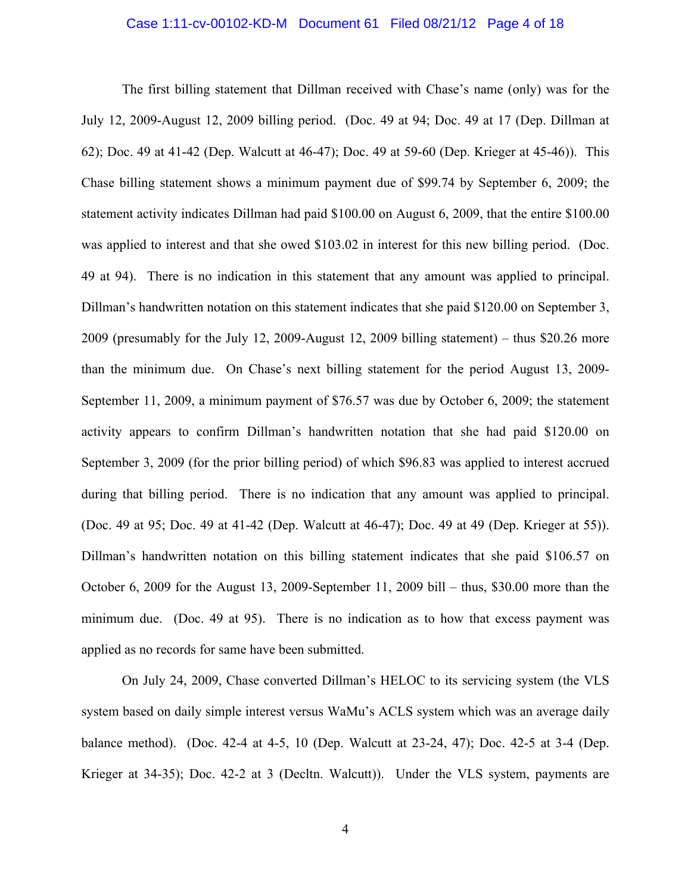#### Case 1:11-cv-00102-KD-M Document 61 Filed 08/21/12 Page 4 of 18

The first billing statement that Dillman received with Chase's name (only) was for the July 12, 2009-August 12, 2009 billing period. (Doc. 49 at 94; Doc. 49 at 17 (Dep. Dillman at 62); Doc. 49 at 41-42 (Dep. Walcutt at 46-47); Doc. 49 at 59-60 (Dep. Krieger at 45-46)). This Chase billing statement shows a minimum payment due of \$99.74 by September 6, 2009; the statement activity indicates Dillman had paid \$100.00 on August 6, 2009, that the entire \$100.00 was applied to interest and that she owed \$103.02 in interest for this new billing period. (Doc. 49 at 94). There is no indication in this statement that any amount was applied to principal. Dillman's handwritten notation on this statement indicates that she paid \$120.00 on September 3, 2009 (presumably for the July 12, 2009-August 12, 2009 billing statement) – thus \$20.26 more than the minimum due. On Chase's next billing statement for the period August 13, 2009- September 11, 2009, a minimum payment of \$76.57 was due by October 6, 2009; the statement activity appears to confirm Dillman's handwritten notation that she had paid \$120.00 on September 3, 2009 (for the prior billing period) of which \$96.83 was applied to interest accrued during that billing period. There is no indication that any amount was applied to principal. (Doc. 49 at 95; Doc. 49 at 41-42 (Dep. Walcutt at 46-47); Doc. 49 at 49 (Dep. Krieger at 55)). Dillman's handwritten notation on this billing statement indicates that she paid \$106.57 on October 6, 2009 for the August 13, 2009-September 11, 2009 bill – thus, \$30.00 more than the minimum due. (Doc. 49 at 95). There is no indication as to how that excess payment was applied as no records for same have been submitted.

On July 24, 2009, Chase converted Dillman's HELOC to its servicing system (the VLS system based on daily simple interest versus WaMu's ACLS system which was an average daily balance method). (Doc. 42-4 at 4-5, 10 (Dep. Walcutt at 23-24, 47); Doc. 42-5 at 3-4 (Dep. Krieger at 34-35); Doc. 42-2 at 3 (Decltn. Walcutt)). Under the VLS system, payments are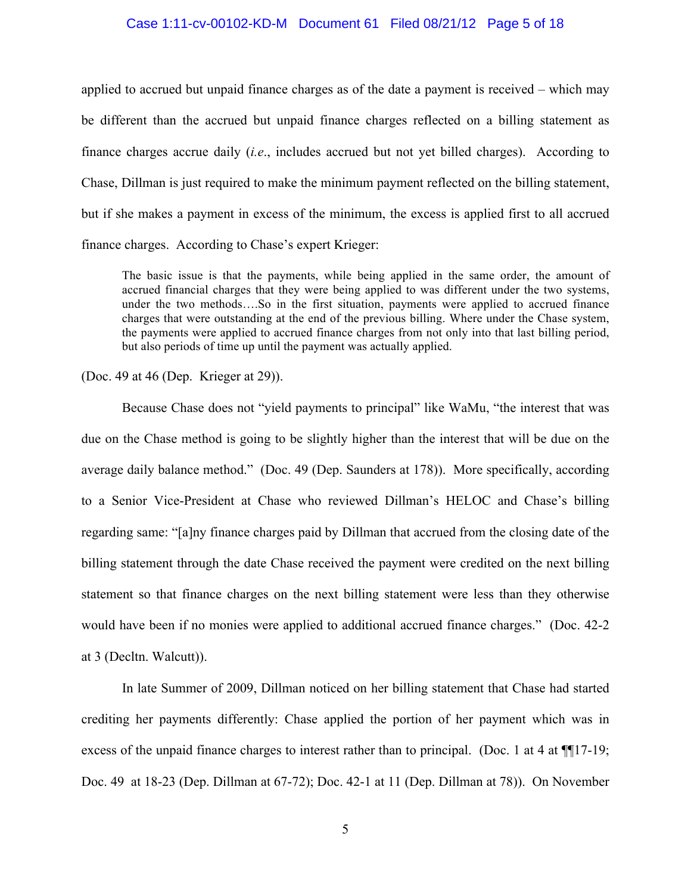#### Case 1:11-cv-00102-KD-M Document 61 Filed 08/21/12 Page 5 of 18

applied to accrued but unpaid finance charges as of the date a payment is received – which may be different than the accrued but unpaid finance charges reflected on a billing statement as finance charges accrue daily (*i.e*., includes accrued but not yet billed charges). According to Chase, Dillman is just required to make the minimum payment reflected on the billing statement, but if she makes a payment in excess of the minimum, the excess is applied first to all accrued finance charges. According to Chase's expert Krieger:

The basic issue is that the payments, while being applied in the same order, the amount of accrued financial charges that they were being applied to was different under the two systems, under the two methods….So in the first situation, payments were applied to accrued finance charges that were outstanding at the end of the previous billing. Where under the Chase system, the payments were applied to accrued finance charges from not only into that last billing period, but also periods of time up until the payment was actually applied.

(Doc. 49 at 46 (Dep. Krieger at 29)).

Because Chase does not "yield payments to principal" like WaMu, "the interest that was due on the Chase method is going to be slightly higher than the interest that will be due on the average daily balance method." (Doc. 49 (Dep. Saunders at 178)). More specifically, according to a Senior Vice-President at Chase who reviewed Dillman's HELOC and Chase's billing regarding same: "[a]ny finance charges paid by Dillman that accrued from the closing date of the billing statement through the date Chase received the payment were credited on the next billing statement so that finance charges on the next billing statement were less than they otherwise would have been if no monies were applied to additional accrued finance charges." (Doc. 42-2 at 3 (Decltn. Walcutt)).

In late Summer of 2009, Dillman noticed on her billing statement that Chase had started crediting her payments differently: Chase applied the portion of her payment which was in excess of the unpaid finance charges to interest rather than to principal. (Doc. 1 at 4 at ¶¶17-19; Doc. 49 at 18-23 (Dep. Dillman at 67-72); Doc. 42-1 at 11 (Dep. Dillman at 78)). On November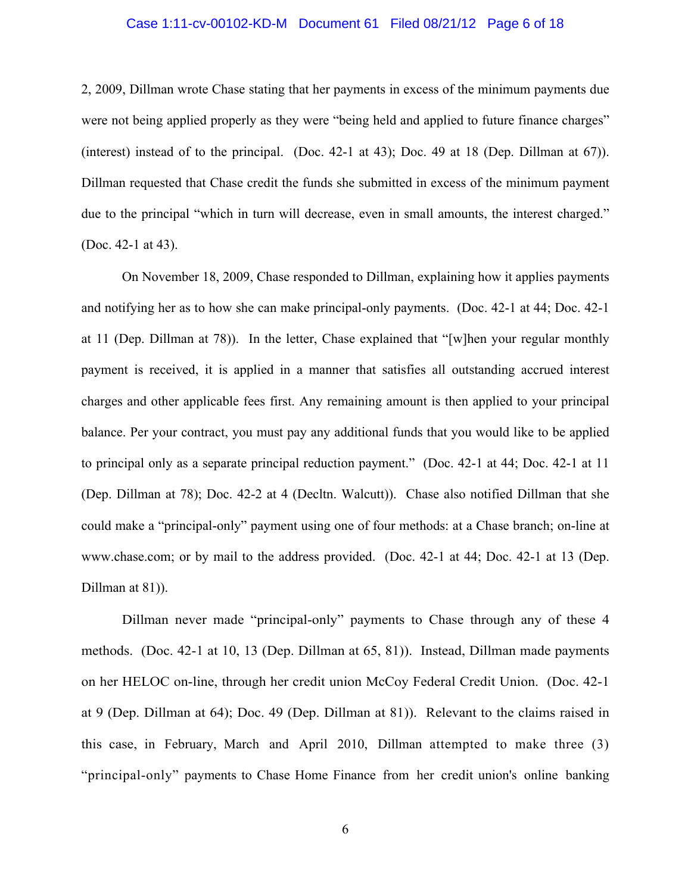#### Case 1:11-cv-00102-KD-M Document 61 Filed 08/21/12 Page 6 of 18

2, 2009, Dillman wrote Chase stating that her payments in excess of the minimum payments due were not being applied properly as they were "being held and applied to future finance charges" (interest) instead of to the principal. (Doc. 42-1 at 43); Doc. 49 at 18 (Dep. Dillman at 67)). Dillman requested that Chase credit the funds she submitted in excess of the minimum payment due to the principal "which in turn will decrease, even in small amounts, the interest charged." (Doc. 42-1 at 43).

On November 18, 2009, Chase responded to Dillman, explaining how it applies payments and notifying her as to how she can make principal-only payments. (Doc. 42-1 at 44; Doc. 42-1 at 11 (Dep. Dillman at 78)). In the letter, Chase explained that "[w]hen your regular monthly payment is received, it is applied in a manner that satisfies all outstanding accrued interest charges and other applicable fees first. Any remaining amount is then applied to your principal balance. Per your contract, you must pay any additional funds that you would like to be applied to principal only as a separate principal reduction payment." (Doc. 42-1 at 44; Doc. 42-1 at 11 (Dep. Dillman at 78); Doc. 42-2 at 4 (Decltn. Walcutt)). Chase also notified Dillman that she could make a "principal-only" payment using one of four methods: at a Chase branch; on-line at www.chase.com; or by mail to the address provided. (Doc. 42-1 at 44; Doc. 42-1 at 13 (Dep. Dillman at 81)).

Dillman never made "principal-only" payments to Chase through any of these 4 methods. (Doc. 42-1 at 10, 13 (Dep. Dillman at 65, 81)). Instead, Dillman made payments on her HELOC on-line, through her credit union McCoy Federal Credit Union. (Doc. 42-1 at 9 (Dep. Dillman at 64); Doc. 49 (Dep. Dillman at 81)). Relevant to the claims raised in this case, in February, March and April 2010, Dillman attempted to make three (3) "principal-only" payments to Chase Home Finance from her credit union's online banking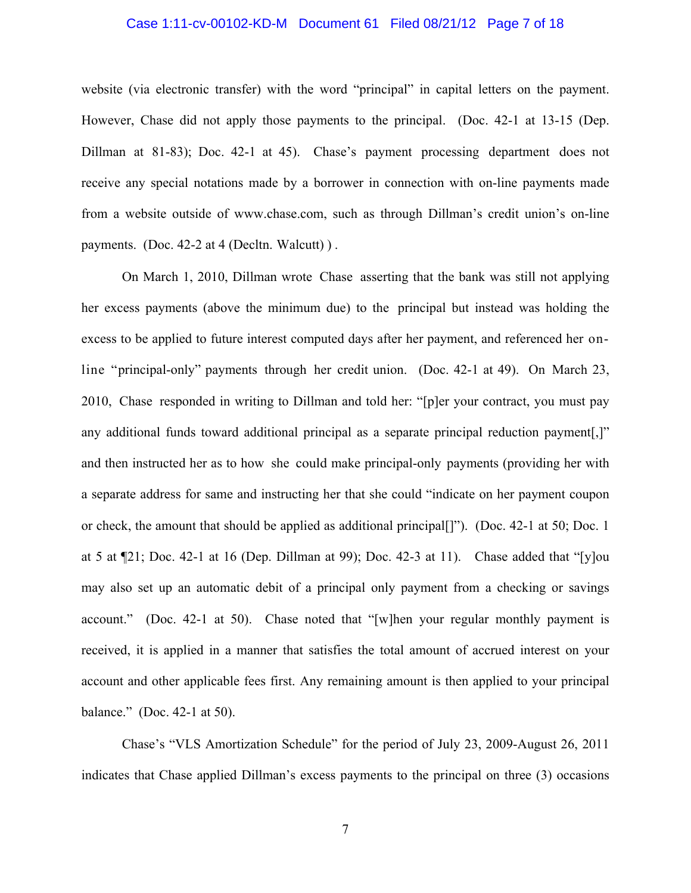#### Case 1:11-cv-00102-KD-M Document 61 Filed 08/21/12 Page 7 of 18

website (via electronic transfer) with the word "principal" in capital letters on the payment. However, Chase did not apply those payments to the principal. (Doc. 42-1 at 13-15 (Dep. Dillman at 81-83); Doc. 42-1 at 45). Chase's payment processing department does not receive any special notations made by a borrower in connection with on-line payments made from a website outside of www.chase.com, such as through Dillman's credit union's on-line payments. (Doc. 42-2 at 4 (Decltn. Walcutt)).

On March 1, 2010, Dillman wrote Chase asserting that the bank was still not applying her excess payments (above the minimum due) to the principal but instead was holding the excess to be applied to future interest computed days after her payment, and referenced her online "principal-only" payments through her credit union. (Doc. 42-1 at 49). On March 23, 2010, Chase responded in writing to Dillman and told her: "[p]er your contract, you must pay any additional funds toward additional principal as a separate principal reduction payment[,]" and then instructed her as to how she could make principal-only payments (providing her with a separate address for same and instructing her that she could "indicate on her payment coupon or check, the amount that should be applied as additional principal[]"). (Doc. 42-1 at 50; Doc. 1 at 5 at  $\P21$ ; Doc. 42-1 at 16 (Dep. Dillman at 99); Doc. 42-3 at 11). Chase added that "[y]ou may also set up an automatic debit of a principal only payment from a checking or savings account." (Doc. 42-1 at 50). Chase noted that "[w]hen your regular monthly payment is received, it is applied in a manner that satisfies the total amount of accrued interest on your account and other applicable fees first. Any remaining amount is then applied to your principal balance." (Doc. 42-1 at 50).

Chase's "VLS Amortization Schedule" for the period of July 23, 2009-August 26, 2011 indicates that Chase applied Dillman's excess payments to the principal on three (3) occasions

7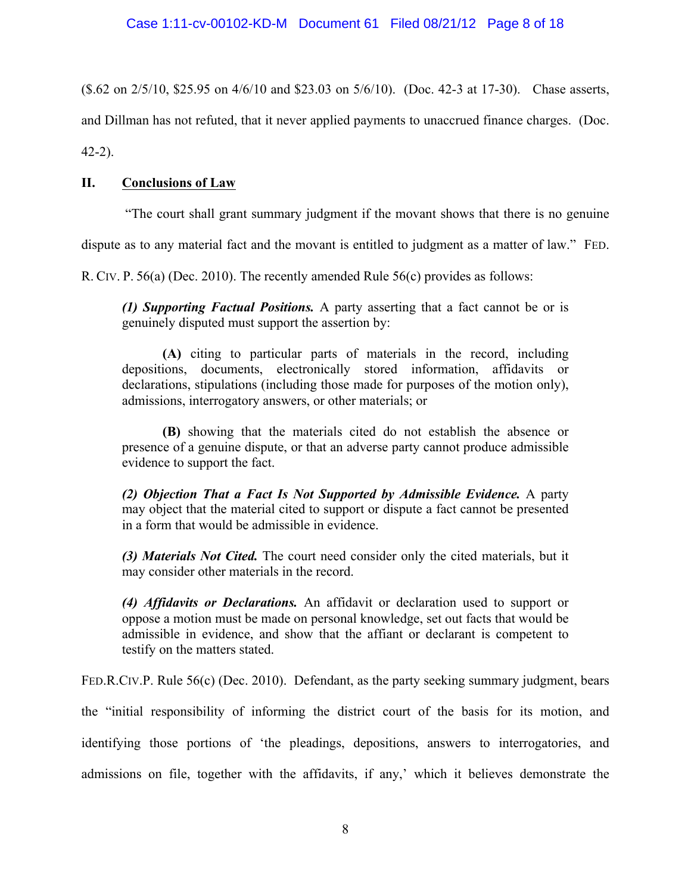(\$.62 on 2/5/10, \$25.95 on 4/6/10 and \$23.03 on 5/6/10). (Doc. 42-3 at 17-30). Chase asserts,

and Dillman has not refuted, that it never applied payments to unaccrued finance charges. (Doc.

42-2).

# **II. Conclusions of Law**

"The court shall grant summary judgment if the movant shows that there is no genuine

dispute as to any material fact and the movant is entitled to judgment as a matter of law." FED.

R. CIV. P. 56(a) (Dec. 2010). The recently amended Rule 56(c) provides as follows:

*(1) Supporting Factual Positions.* A party asserting that a fact cannot be or is genuinely disputed must support the assertion by:

**(A)** citing to particular parts of materials in the record, including depositions, documents, electronically stored information, affidavits or declarations, stipulations (including those made for purposes of the motion only), admissions, interrogatory answers, or other materials; or

**(B)** showing that the materials cited do not establish the absence or presence of a genuine dispute, or that an adverse party cannot produce admissible evidence to support the fact.

*(2) Objection That a Fact Is Not Supported by Admissible Evidence.* A party may object that the material cited to support or dispute a fact cannot be presented in a form that would be admissible in evidence.

*(3) Materials Not Cited.* The court need consider only the cited materials, but it may consider other materials in the record.

*(4) Affidavits or Declarations.* An affidavit or declaration used to support or oppose a motion must be made on personal knowledge, set out facts that would be admissible in evidence, and show that the affiant or declarant is competent to testify on the matters stated.

FED.R.CIV.P. Rule 56(c) (Dec. 2010). Defendant, as the party seeking summary judgment, bears

the "initial responsibility of informing the district court of the basis for its motion, and

identifying those portions of 'the pleadings, depositions, answers to interrogatories, and admissions on file, together with the affidavits, if any,' which it believes demonstrate the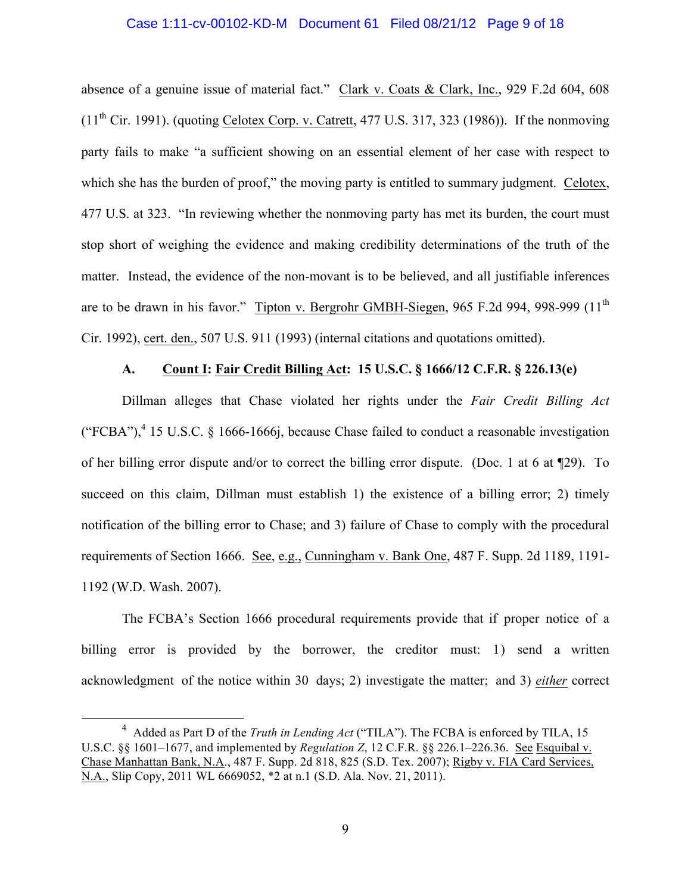#### Case 1:11-cv-00102-KD-M Document 61 Filed 08/21/12 Page 9 of 18

absence of a genuine issue of material fact." Clark v. Coats & Clark, Inc., 929 F.2d 604, 608  $(11<sup>th</sup> Cir. 1991)$ . (quoting Celotex Corp. v. Catrett, 477 U.S. 317, 323 (1986)). If the nonmoving party fails to make "a sufficient showing on an essential element of her case with respect to which she has the burden of proof," the moving party is entitled to summary judgment. Celotex, 477 U.S. at 323. "In reviewing whether the nonmoving party has met its burden, the court must stop short of weighing the evidence and making credibility determinations of the truth of the matter. Instead, the evidence of the non-movant is to be believed, and all justifiable inferences are to be drawn in his favor." Tipton v. Bergrohr GMBH-Siegen, 965 F.2d 994, 998-999 (11<sup>th</sup> Cir. 1992), cert. den., 507 U.S. 911 (1993) (internal citations and quotations omitted).

## **A. Count I: Fair Credit Billing Act: 15 U.S.C. § 1666/12 C.F.R. § 226.13(e)**

Dillman alleges that Chase violated her rights under the *Fair Credit Billing Act* ("FCBA"),<sup>4</sup> 15 U.S.C. § 1666-1666j, because Chase failed to conduct a reasonable investigation of her billing error dispute and/or to correct the billing error dispute. (Doc. 1 at 6 at ¶29). To succeed on this claim, Dillman must establish 1) the existence of a billing error; 2) timely notification of the billing error to Chase; and 3) failure of Chase to comply with the procedural requirements of Section 1666. See, e.g., Cunningham v. Bank One, 487 F. Supp. 2d 1189, 1191-1192 (W.D. Wash. 2007).

The FCBA's Section 1666 procedural requirements provide that if proper notice of a billing error is provided by the borrower, the creditor must: 1) send a written acknowledgment of the notice within 30 days; 2) investigate the matter; and 3) *either* correct

 $\overline{4}$ <sup>4</sup> Added as Part D of the *Truth in Lending Act* ("TILA"). The FCBA is enforced by TILA, 15 U.S.C. §§ 1601–1677, and implemented by *Regulation Z*, 12 C.F.R. §§ 226.1–226.36. See Esquibal v. Chase Manhattan Bank, N.A., 487 F. Supp. 2d 818, 825 (S.D. Tex. 2007); Rigby v. FIA Card Services, N.A., Slip Copy, 2011 WL 6669052, \*2 at n.1 (S.D. Ala. Nov. 21, 2011).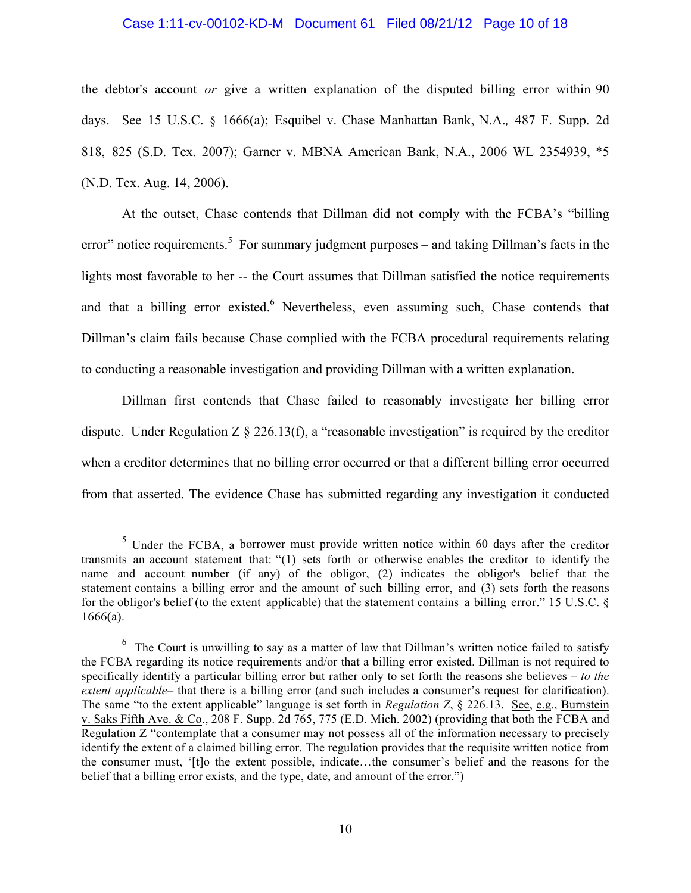#### Case 1:11-cv-00102-KD-M Document 61 Filed 08/21/12 Page 10 of 18

the debtor's account *or* give a written explanation of the disputed billing error within 90 days. See 15 U.S.C. § 1666(a); Esquibel v. Chase Manhattan Bank, N.A.*,* 487 F. Supp. 2d 818, 825 (S.D. Tex. 2007); Garner v. MBNA American Bank, N.A., 2006 WL 2354939, \*5 (N.D. Tex. Aug. 14, 2006).

At the outset, Chase contends that Dillman did not comply with the FCBA's "billing error" notice requirements.<sup>5</sup> For summary judgment purposes – and taking Dillman's facts in the lights most favorable to her -- the Court assumes that Dillman satisfied the notice requirements and that a billing error existed.<sup>6</sup> Nevertheless, even assuming such, Chase contends that Dillman's claim fails because Chase complied with the FCBA procedural requirements relating to conducting a reasonable investigation and providing Dillman with a written explanation.

Dillman first contends that Chase failed to reasonably investigate her billing error dispute. Under Regulation  $Z \S 226.13(f)$ , a "reasonable investigation" is required by the creditor when a creditor determines that no billing error occurred or that a different billing error occurred from that asserted. The evidence Chase has submitted regarding any investigation it conducted

 $<sup>5</sup>$  Under the FCBA, a borrower must provide written notice within 60 days after the creditor</sup> transmits an account statement that: "(1) sets forth or otherwise enables the creditor to identify the name and account number (if any) of the obligor, (2) indicates the obligor's belief that the statement contains a billing error and the amount of such billing error, and (3) sets forth the reasons for the obligor's belief (to the extent applicable) that the statement contains a billing error." 15 U.S.C. § 1666(a).

 $6\,$  The Court is unwilling to say as a matter of law that Dillman's written notice failed to satisfy the FCBA regarding its notice requirements and/or that a billing error existed. Dillman is not required to specifically identify a particular billing error but rather only to set forth the reasons she believes – *to the extent applicable*– that there is a billing error (and such includes a consumer's request for clarification). The same "to the extent applicable" language is set forth in *Regulation Z*, § 226.13. See, e.g., Burnstein v. Saks Fifth Ave. & Co., 208 F. Supp. 2d 765, 775 (E.D. Mich. 2002) (providing that both the FCBA and Regulation Z "contemplate that a consumer may not possess all of the information necessary to precisely identify the extent of a claimed billing error. The regulation provides that the requisite written notice from the consumer must, '[t]o the extent possible, indicate…the consumer's belief and the reasons for the belief that a billing error exists, and the type, date, and amount of the error.")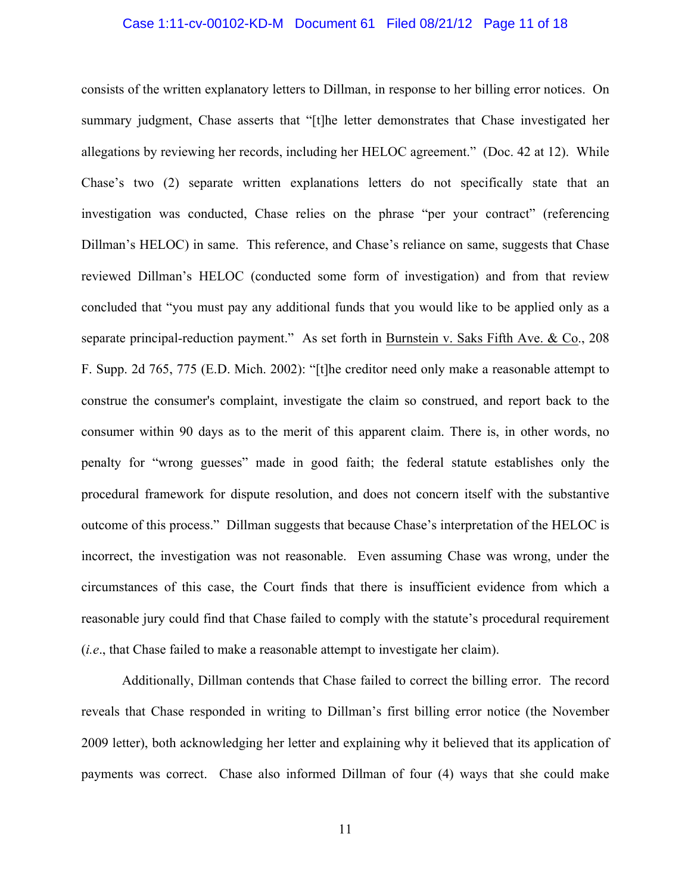#### Case 1:11-cv-00102-KD-M Document 61 Filed 08/21/12 Page 11 of 18

consists of the written explanatory letters to Dillman, in response to her billing error notices. On summary judgment, Chase asserts that "[t]he letter demonstrates that Chase investigated her allegations by reviewing her records, including her HELOC agreement." (Doc. 42 at 12). While Chase's two (2) separate written explanations letters do not specifically state that an investigation was conducted, Chase relies on the phrase "per your contract" (referencing Dillman's HELOC) in same. This reference, and Chase's reliance on same, suggests that Chase reviewed Dillman's HELOC (conducted some form of investigation) and from that review concluded that "you must pay any additional funds that you would like to be applied only as a separate principal-reduction payment." As set forth in Burnstein v. Saks Fifth Ave. & Co., 208 F. Supp. 2d 765, 775 (E.D. Mich. 2002): "[t]he creditor need only make a reasonable attempt to construe the consumer's complaint, investigate the claim so construed, and report back to the consumer within 90 days as to the merit of this apparent claim. There is, in other words, no penalty for "wrong guesses" made in good faith; the federal statute establishes only the procedural framework for dispute resolution, and does not concern itself with the substantive outcome of this process." Dillman suggests that because Chase's interpretation of the HELOC is incorrect, the investigation was not reasonable. Even assuming Chase was wrong, under the circumstances of this case, the Court finds that there is insufficient evidence from which a reasonable jury could find that Chase failed to comply with the statute's procedural requirement (*i.e*., that Chase failed to make a reasonable attempt to investigate her claim).

Additionally, Dillman contends that Chase failed to correct the billing error. The record reveals that Chase responded in writing to Dillman's first billing error notice (the November 2009 letter), both acknowledging her letter and explaining why it believed that its application of payments was correct. Chase also informed Dillman of four (4) ways that she could make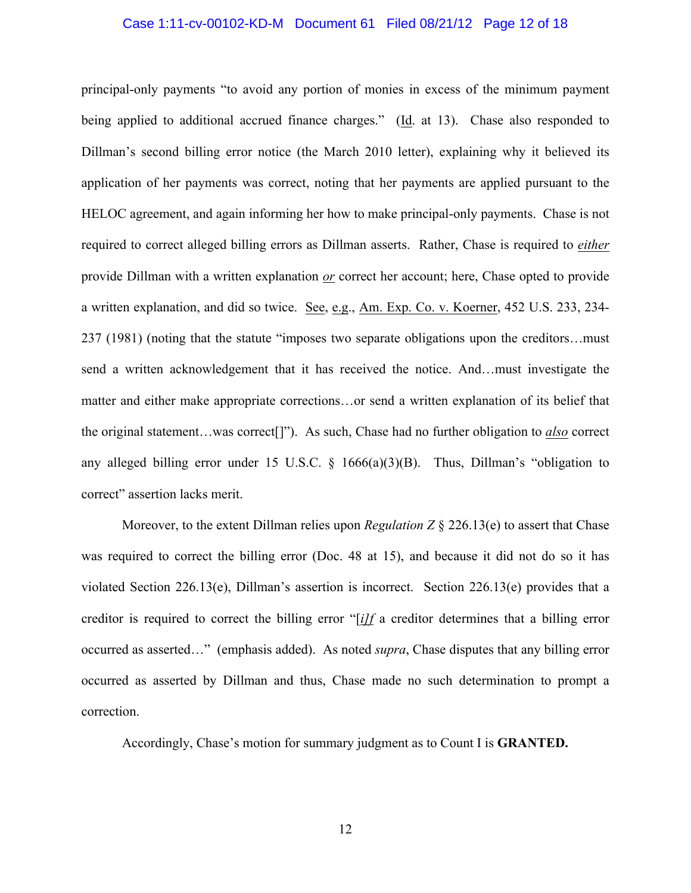#### Case 1:11-cv-00102-KD-M Document 61 Filed 08/21/12 Page 12 of 18

principal-only payments "to avoid any portion of monies in excess of the minimum payment being applied to additional accrued finance charges." (Id. at 13). Chase also responded to Dillman's second billing error notice (the March 2010 letter), explaining why it believed its application of her payments was correct, noting that her payments are applied pursuant to the HELOC agreement, and again informing her how to make principal-only payments. Chase is not required to correct alleged billing errors as Dillman asserts. Rather, Chase is required to *either* provide Dillman with a written explanation *or* correct her account; here, Chase opted to provide a written explanation, and did so twice. See, e.g., Am. Exp. Co. v. Koerner, 452 U.S. 233, 234- 237 (1981) (noting that the statute "imposes two separate obligations upon the creditors…must send a written acknowledgement that it has received the notice. And…must investigate the matter and either make appropriate corrections…or send a written explanation of its belief that the original statement…was correct[]"). As such, Chase had no further obligation to *also* correct any alleged billing error under 15 U.S.C.  $\S$  1666(a)(3)(B). Thus, Dillman's "obligation to correct" assertion lacks merit.

Moreover, to the extent Dillman relies upon *Regulation Z* § 226.13(e) to assert that Chase was required to correct the billing error (Doc. 48 at 15), and because it did not do so it has violated Section 226.13(e), Dillman's assertion is incorrect. Section 226.13(e) provides that a creditor is required to correct the billing error "[*i]f* a creditor determines that a billing error occurred as asserted…" (emphasis added). As noted *supra*, Chase disputes that any billing error occurred as asserted by Dillman and thus, Chase made no such determination to prompt a correction.

Accordingly, Chase's motion for summary judgment as to Count I is **GRANTED.**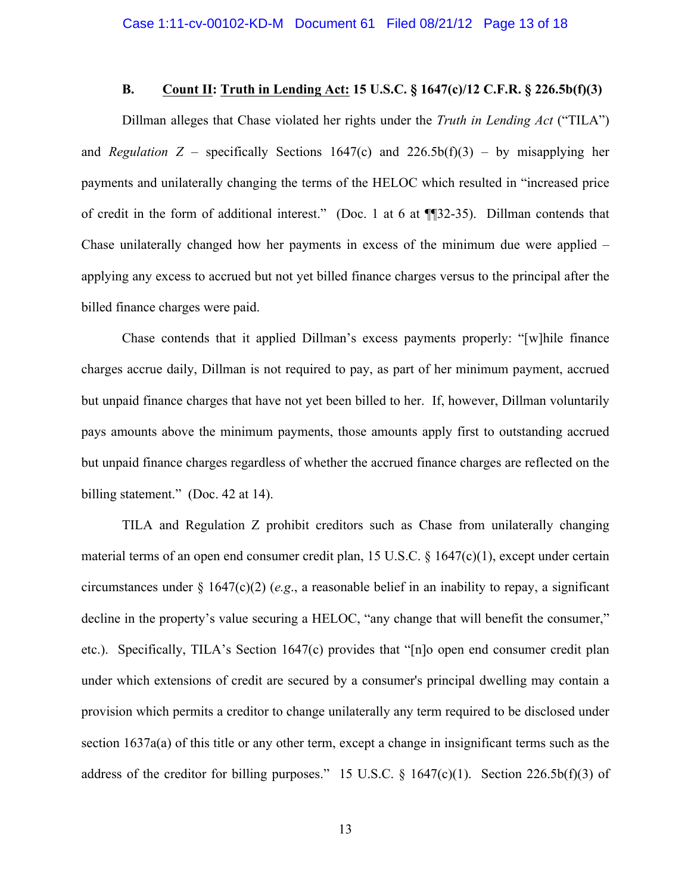#### **B. Count II: Truth in Lending Act: 15 U.S.C. § 1647(c)/12 C.F.R. § 226.5b(f)(3)**

Dillman alleges that Chase violated her rights under the *Truth in Lending Act* ("TILA") and *Regulation*  $Z$  – specifically Sections 1647(c) and 226.5b(f)(3) – by misapplying her payments and unilaterally changing the terms of the HELOC which resulted in "increased price of credit in the form of additional interest."(Doc. 1 at 6 at ¶¶32-35). Dillman contends that Chase unilaterally changed how her payments in excess of the minimum due were applied – applying any excess to accrued but not yet billed finance charges versus to the principal after the billed finance charges were paid.

Chase contends that it applied Dillman's excess payments properly: "[w]hile finance charges accrue daily, Dillman is not required to pay, as part of her minimum payment, accrued but unpaid finance charges that have not yet been billed to her. If, however, Dillman voluntarily pays amounts above the minimum payments, those amounts apply first to outstanding accrued but unpaid finance charges regardless of whether the accrued finance charges are reflected on the billing statement." (Doc. 42 at 14).

TILA and Regulation Z prohibit creditors such as Chase from unilaterally changing material terms of an open end consumer credit plan, 15 U.S.C.  $\S$  1647(c)(1), except under certain circumstances under  $\S 1647(c)(2)$  (*e.g.*, a reasonable belief in an inability to repay, a significant decline in the property's value securing a HELOC, "any change that will benefit the consumer," etc.). Specifically, TILA's Section 1647(c) provides that "[n]o open end consumer credit plan under which extensions of credit are secured by a consumer's principal dwelling may contain a provision which permits a creditor to change unilaterally any term required to be disclosed under section 1637a(a) of this title or any other term, except a change in insignificant terms such as the address of the creditor for billing purposes." 15 U.S.C.  $\S$  1647(c)(1). Section 226.5b(f)(3) of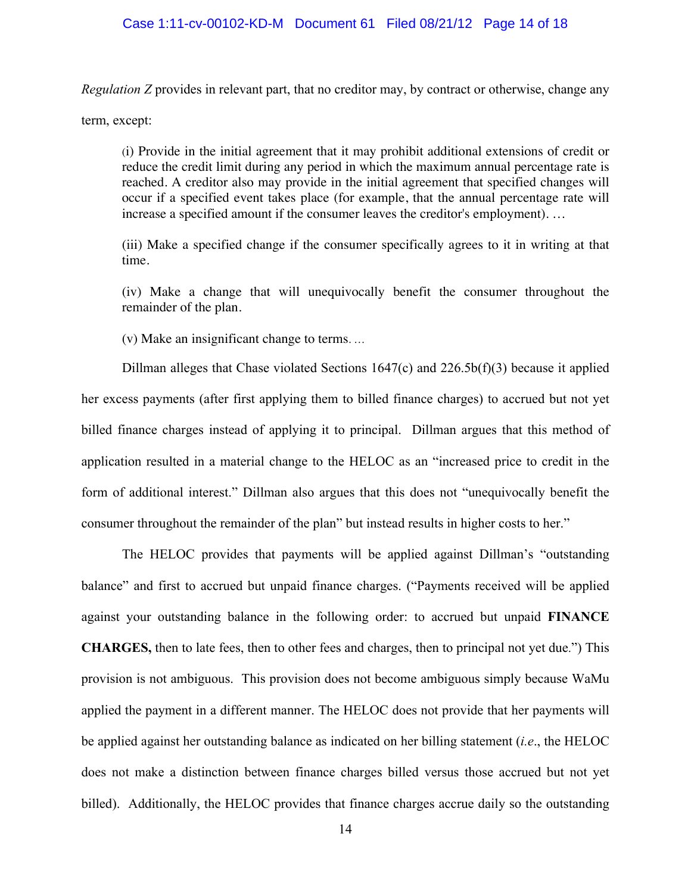#### Case 1:11-cv-00102-KD-M Document 61 Filed 08/21/12 Page 14 of 18

*Regulation Z* provides in relevant part, that no creditor may, by contract or otherwise, change any

term, except:

(i) Provide in the initial agreement that it may prohibit additional extensions of credit or reduce the credit limit during any period in which the maximum annual percentage rate is reached. A creditor also may provide in the initial agreement that specified changes will occur if a specified event takes place (for example, that the annual percentage rate will increase a specified amount if the consumer leaves the creditor's employment). …

(iii) Make a specified change if the consumer specifically agrees to it in writing at that time.

(iv) Make a change that will unequivocally benefit the consumer throughout the remainder of the plan.

(v) Make an insignificant change to terms. …

Dillman alleges that Chase violated Sections 1647(c) and 226.5b(f)(3) because it applied her excess payments (after first applying them to billed finance charges) to accrued but not yet billed finance charges instead of applying it to principal. Dillman argues that this method of application resulted in a material change to the HELOC as an "increased price to credit in the form of additional interest." Dillman also argues that this does not "unequivocally benefit the consumer throughout the remainder of the plan" but instead results in higher costs to her."

The HELOC provides that payments will be applied against Dillman's "outstanding balance" and first to accrued but unpaid finance charges. ("Payments received will be applied against your outstanding balance in the following order: to accrued but unpaid **FINANCE CHARGES,** then to late fees, then to other fees and charges, then to principal not yet due.") This provision is not ambiguous. This provision does not become ambiguous simply because WaMu applied the payment in a different manner. The HELOC does not provide that her payments will be applied against her outstanding balance as indicated on her billing statement (*i.e*., the HELOC does not make a distinction between finance charges billed versus those accrued but not yet billed). Additionally, the HELOC provides that finance charges accrue daily so the outstanding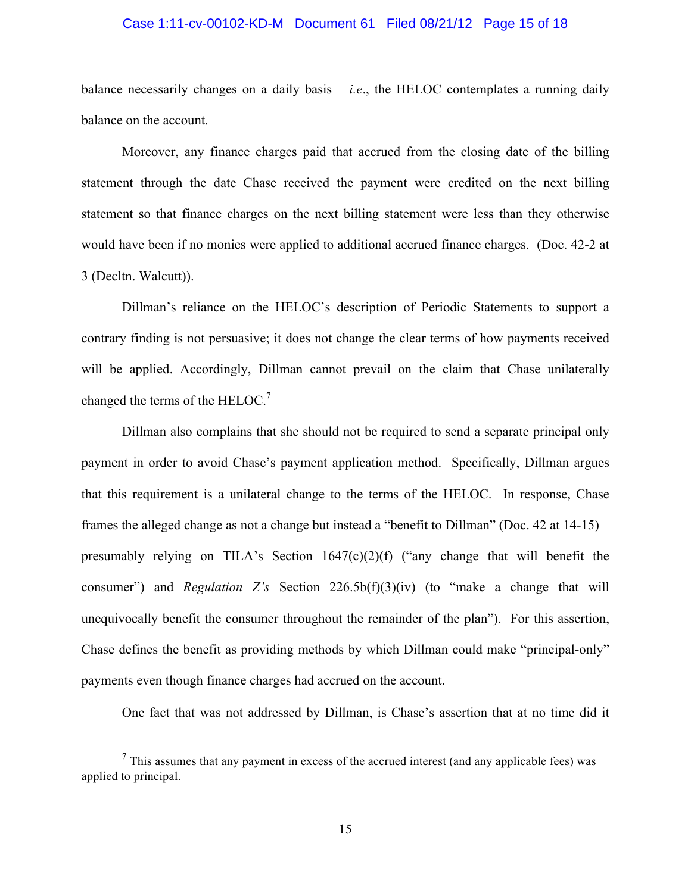#### Case 1:11-cv-00102-KD-M Document 61 Filed 08/21/12 Page 15 of 18

balance necessarily changes on a daily basis  $-i.e.,$  the HELOC contemplates a running daily balance on the account.

Moreover, any finance charges paid that accrued from the closing date of the billing statement through the date Chase received the payment were credited on the next billing statement so that finance charges on the next billing statement were less than they otherwise would have been if no monies were applied to additional accrued finance charges. (Doc. 42-2 at 3 (Decltn. Walcutt)).

Dillman's reliance on the HELOC's description of Periodic Statements to support a contrary finding is not persuasive; it does not change the clear terms of how payments received will be applied. Accordingly, Dillman cannot prevail on the claim that Chase unilaterally changed the terms of the HELOC.<sup>7</sup>

Dillman also complains that she should not be required to send a separate principal only payment in order to avoid Chase's payment application method. Specifically, Dillman argues that this requirement is a unilateral change to the terms of the HELOC. In response, Chase frames the alleged change as not a change but instead a "benefit to Dillman" (Doc. 42 at 14-15) – presumably relying on TILA's Section  $1647(c)(2)(f)$  ("any change that will benefit the consumer") and *Regulation Z's* Section 226.5b(f)(3)(iv) (to "make a change that will unequivocally benefit the consumer throughout the remainder of the plan"). For this assertion, Chase defines the benefit as providing methods by which Dillman could make "principal-only" payments even though finance charges had accrued on the account.

One fact that was not addressed by Dillman, is Chase's assertion that at no time did it

 $<sup>7</sup>$  This assumes that any payment in excess of the accrued interest (and any applicable fees) was</sup> applied to principal.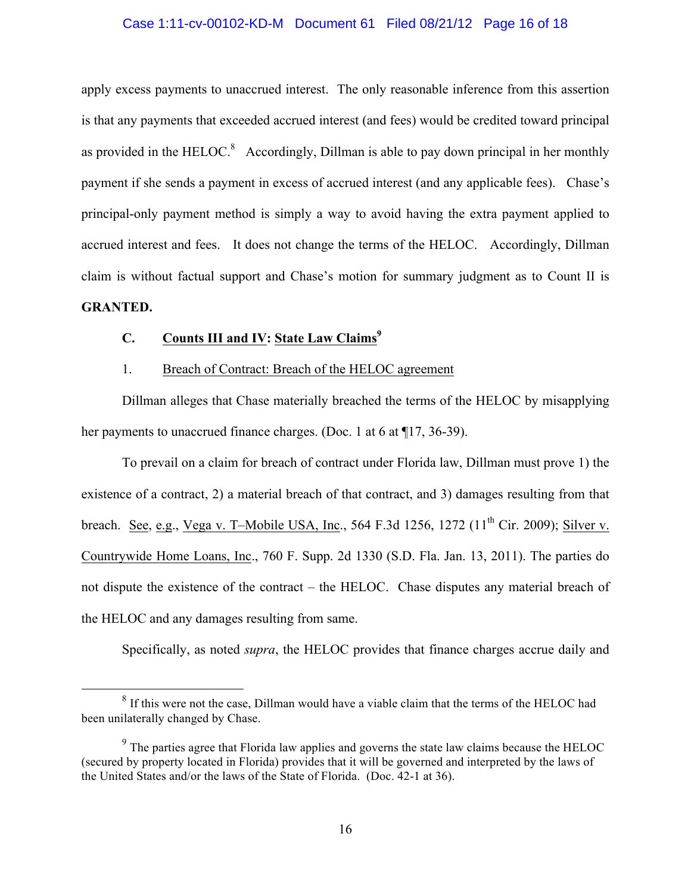#### Case 1:11-cv-00102-KD-M Document 61 Filed 08/21/12 Page 16 of 18

apply excess payments to unaccrued interest. The only reasonable inference from this assertion is that any payments that exceeded accrued interest (and fees) would be credited toward principal as provided in the HELOC. $\delta$  Accordingly, Dillman is able to pay down principal in her monthly payment if she sends a payment in excess of accrued interest (and any applicable fees). Chase's principal-only payment method is simply a way to avoid having the extra payment applied to accrued interest and fees. It does not change the terms of the HELOC. Accordingly, Dillman claim is without factual support and Chase's motion for summary judgment as to Count II is **GRANTED.**

# **C. Counts III and IV: State Law Claims<sup>9</sup>**

## 1. Breach of Contract: Breach of the HELOC agreement

Dillman alleges that Chase materially breached the terms of the HELOC by misapplying her payments to unaccrued finance charges. (Doc. 1 at 6 at  $\P$ 17, 36-39).

To prevail on a claim for breach of contract under Florida law, Dillman must prove 1) the existence of a contract, 2) a material breach of that contract, and 3) damages resulting from that breach. See, e.g., Vega v. T-Mobile USA, Inc., 564 F.3d 1256, 1272 ( $11^{th}$  Cir. 2009); Silver v. Countrywide Home Loans, Inc., 760 F. Supp. 2d 1330 (S.D. Fla. Jan. 13, 2011). The parties do not dispute the existence of the contract – the HELOC. Chase disputes any material breach of the HELOC and any damages resulting from same.

Specifically, as noted *supra*, the HELOC provides that finance charges accrue daily and

<sup>&</sup>lt;sup>8</sup> If this were not the case, Dillman would have a viable claim that the terms of the HELOC had been unilaterally changed by Chase.

<sup>&</sup>lt;sup>9</sup> The parties agree that Florida law applies and governs the state law claims because the HELOC (secured by property located in Florida) provides that it will be governed and interpreted by the laws of the United States and/or the laws of the State of Florida. (Doc. 42-1 at 36).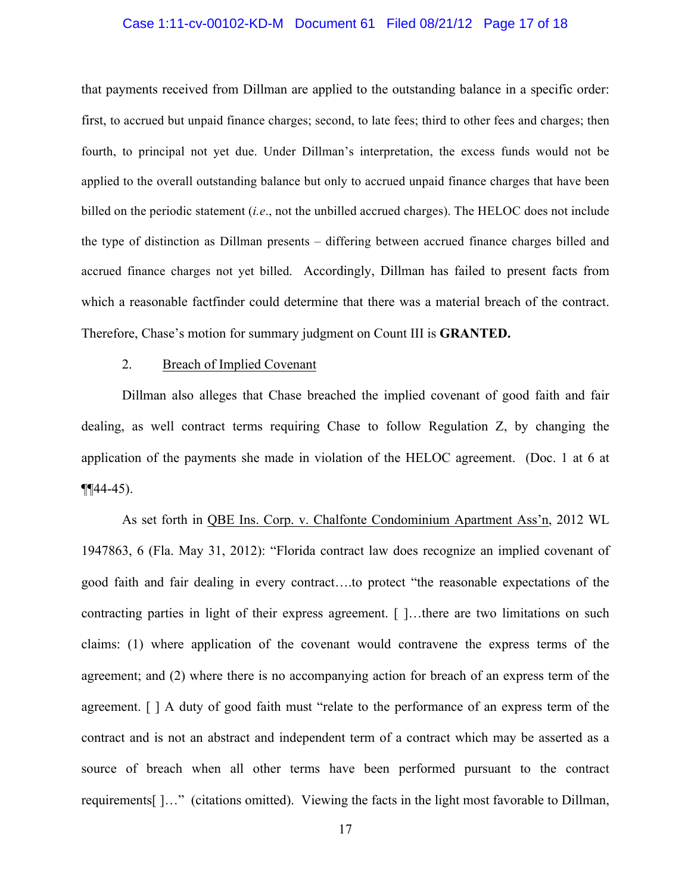#### Case 1:11-cv-00102-KD-M Document 61 Filed 08/21/12 Page 17 of 18

that payments received from Dillman are applied to the outstanding balance in a specific order: first, to accrued but unpaid finance charges; second, to late fees; third to other fees and charges; then fourth, to principal not yet due. Under Dillman's interpretation, the excess funds would not be applied to the overall outstanding balance but only to accrued unpaid finance charges that have been billed on the periodic statement (*i.e*., not the unbilled accrued charges). The HELOC does not include the type of distinction as Dillman presents – differing between accrued finance charges billed and accrued finance charges not yet billed. Accordingly, Dillman has failed to present facts from which a reasonable factfinder could determine that there was a material breach of the contract. Therefore, Chase's motion for summary judgment on Count III is **GRANTED.**

#### 2. Breach of Implied Covenant

Dillman also alleges that Chase breached the implied covenant of good faith and fair dealing, as well contract terms requiring Chase to follow Regulation Z, by changing the application of the payments she made in violation of the HELOC agreement. (Doc. 1 at 6 at  $\P$  $[44-45]$ .

As set forth in QBE Ins. Corp. v. Chalfonte Condominium Apartment Ass'n, 2012 WL 1947863, 6 (Fla. May 31, 2012): "Florida contract law does recognize an implied covenant of good faith and fair dealing in every contract….to protect "the reasonable expectations of the contracting parties in light of their express agreement. [ ]...there are two limitations on such claims: (1) where application of the covenant would contravene the express terms of the agreement; and (2) where there is no accompanying action for breach of an express term of the agreement. [ ] A duty of good faith must "relate to the performance of an express term of the contract and is not an abstract and independent term of a contract which may be asserted as a source of breach when all other terms have been performed pursuant to the contract requirements[ ]…" (citations omitted). Viewing the facts in the light most favorable to Dillman,